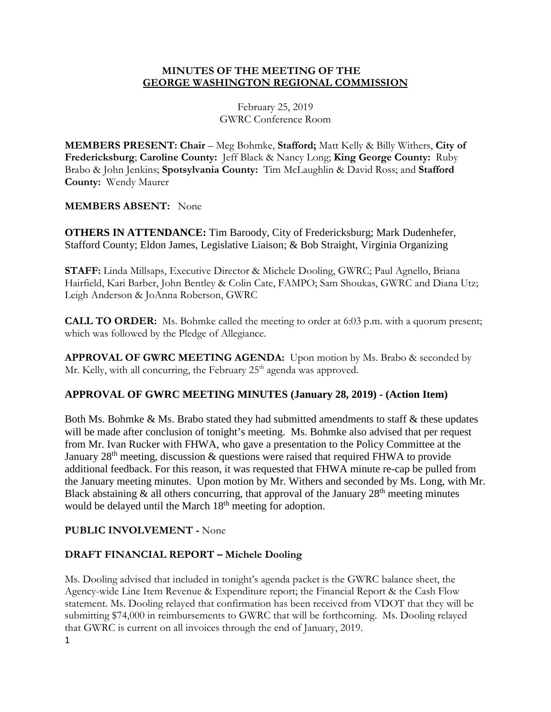### **MINUTES OF THE MEETING OF THE GEORGE WASHINGTON REGIONAL COMMISSION**

February 25, 2019 GWRC Conference Room

**MEMBERS PRESENT: Chair** – Meg Bohmke, **Stafford;** Matt Kelly & Billy Withers, **City of Fredericksburg**; **Caroline County:** Jeff Black & Nancy Long; **King George County:** Ruby Brabo & John Jenkins; **Spotsylvania County:** Tim McLaughlin & David Ross; and **Stafford County:** Wendy Maurer

#### **MEMBERS ABSENT:** None

**OTHERS IN ATTENDANCE:** Tim Baroody, City of Fredericksburg; Mark Dudenhefer, Stafford County; Eldon James, Legislative Liaison; & Bob Straight, Virginia Organizing

**STAFF:** Linda Millsaps, Executive Director & Michele Dooling, GWRC; Paul Agnello, Briana Hairfield, Kari Barber, John Bentley & Colin Cate, FAMPO; Sam Shoukas, GWRC and Diana Utz; Leigh Anderson & JoAnna Roberson, GWRC

**CALL TO ORDER:** Ms. Bohmke called the meeting to order at 6:03 p.m. with a quorum present; which was followed by the Pledge of Allegiance.

**APPROVAL OF GWRC MEETING AGENDA:** Upon motion by Ms. Brabo & seconded by Mr. Kelly, with all concurring, the February  $25<sup>th</sup>$  agenda was approved.

#### **APPROVAL OF GWRC MEETING MINUTES (January 28, 2019) - (Action Item)**

Both Ms. Bohmke & Ms. Brabo stated they had submitted amendments to staff & these updates will be made after conclusion of tonight's meeting. Ms. Bohmke also advised that per request from Mr. Ivan Rucker with FHWA, who gave a presentation to the Policy Committee at the January  $28<sup>th</sup>$  meeting, discussion & questions were raised that required FHWA to provide additional feedback. For this reason, it was requested that FHWA minute re-cap be pulled from the January meeting minutes. Upon motion by Mr. Withers and seconded by Ms. Long, with Mr. Black abstaining  $\&$  all others concurring, that approval of the January 28<sup>th</sup> meeting minutes would be delayed until the March 18<sup>th</sup> meeting for adoption.

#### **PUBLIC INVOLVEMENT -** None

#### **DRAFT FINANCIAL REPORT – Michele Dooling**

1 Ms. Dooling advised that included in tonight's agenda packet is the GWRC balance sheet, the Agency-wide Line Item Revenue & Expenditure report; the Financial Report & the Cash Flow statement. Ms. Dooling relayed that confirmation has been received from VDOT that they will be submitting \$74,000 in reimbursements to GWRC that will be forthcoming. Ms. Dooling relayed that GWRC is current on all invoices through the end of January, 2019.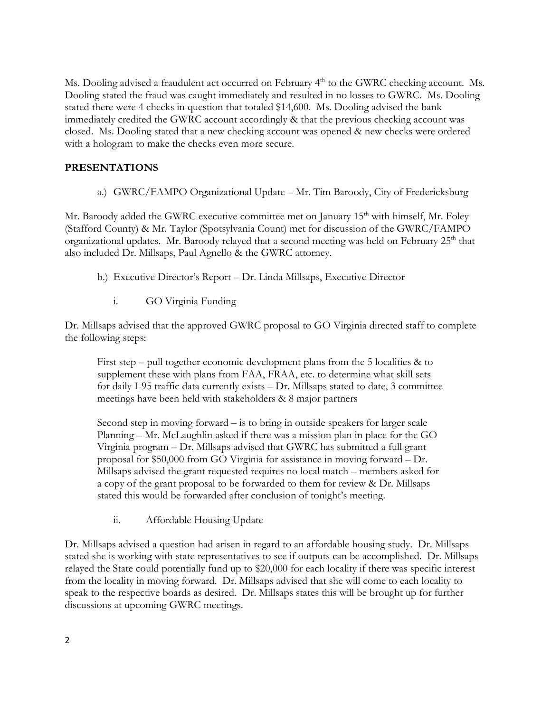Ms. Dooling advised a fraudulent act occurred on February 4<sup>th</sup> to the GWRC checking account. Ms. Dooling stated the fraud was caught immediately and resulted in no losses to GWRC. Ms. Dooling stated there were 4 checks in question that totaled \$14,600. Ms. Dooling advised the bank immediately credited the GWRC account accordingly & that the previous checking account was closed. Ms. Dooling stated that a new checking account was opened & new checks were ordered with a hologram to make the checks even more secure.

## **PRESENTATIONS**

a.) GWRC/FAMPO Organizational Update – Mr. Tim Baroody, City of Fredericksburg

Mr. Baroody added the GWRC executive committee met on January 15<sup>th</sup> with himself, Mr. Foley (Stafford County) & Mr. Taylor (Spotsylvania Count) met for discussion of the GWRC/FAMPO organizational updates. Mr. Baroody relayed that a second meeting was held on February  $25<sup>th</sup>$  that also included Dr. Millsaps, Paul Agnello & the GWRC attorney.

- b.) Executive Director's Report Dr. Linda Millsaps, Executive Director
	- i. GO Virginia Funding

Dr. Millsaps advised that the approved GWRC proposal to GO Virginia directed staff to complete the following steps:

First step – pull together economic development plans from the 5 localities & to supplement these with plans from FAA, FRAA, etc. to determine what skill sets for daily I-95 traffic data currently exists – Dr. Millsaps stated to date, 3 committee meetings have been held with stakeholders & 8 major partners

Second step in moving forward – is to bring in outside speakers for larger scale Planning – Mr. McLaughlin asked if there was a mission plan in place for the GO Virginia program – Dr. Millsaps advised that GWRC has submitted a full grant proposal for \$50,000 from GO Virginia for assistance in moving forward – Dr. Millsaps advised the grant requested requires no local match – members asked for a copy of the grant proposal to be forwarded to them for review & Dr. Millsaps stated this would be forwarded after conclusion of tonight's meeting.

ii. Affordable Housing Update

Dr. Millsaps advised a question had arisen in regard to an affordable housing study. Dr. Millsaps stated she is working with state representatives to see if outputs can be accomplished. Dr. Millsaps relayed the State could potentially fund up to \$20,000 for each locality if there was specific interest from the locality in moving forward. Dr. Millsaps advised that she will come to each locality to speak to the respective boards as desired. Dr. Millsaps states this will be brought up for further discussions at upcoming GWRC meetings.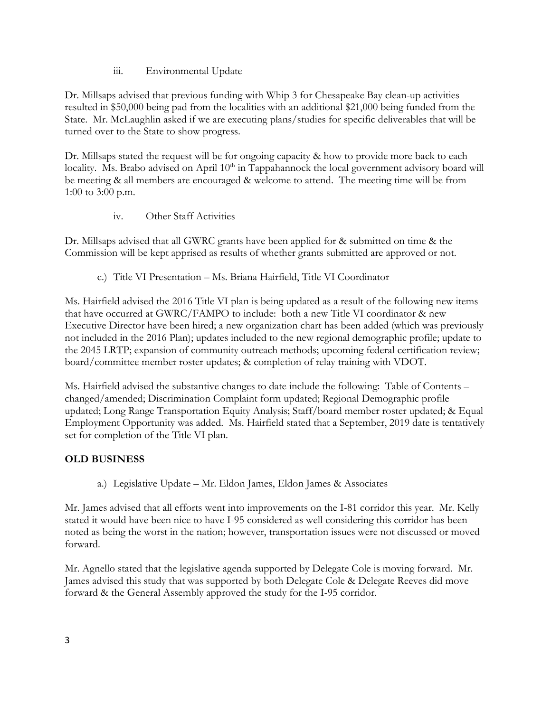iii. Environmental Update

Dr. Millsaps advised that previous funding with Whip 3 for Chesapeake Bay clean-up activities resulted in \$50,000 being pad from the localities with an additional \$21,000 being funded from the State. Mr. McLaughlin asked if we are executing plans/studies for specific deliverables that will be turned over to the State to show progress.

Dr. Millsaps stated the request will be for ongoing capacity & how to provide more back to each locality. Ms. Brabo advised on April 10<sup>th</sup> in Tappahannock the local government advisory board will be meeting & all members are encouraged & welcome to attend. The meeting time will be from 1:00 to 3:00 p.m.

iv. Other Staff Activities

Dr. Millsaps advised that all GWRC grants have been applied for & submitted on time & the Commission will be kept apprised as results of whether grants submitted are approved or not.

c.) Title VI Presentation – Ms. Briana Hairfield, Title VI Coordinator

Ms. Hairfield advised the 2016 Title VI plan is being updated as a result of the following new items that have occurred at GWRC/FAMPO to include: both a new Title VI coordinator & new Executive Director have been hired; a new organization chart has been added (which was previously not included in the 2016 Plan); updates included to the new regional demographic profile; update to the 2045 LRTP; expansion of community outreach methods; upcoming federal certification review; board/committee member roster updates; & completion of relay training with VDOT.

Ms. Hairfield advised the substantive changes to date include the following: Table of Contents – changed/amended; Discrimination Complaint form updated; Regional Demographic profile updated; Long Range Transportation Equity Analysis; Staff/board member roster updated; & Equal Employment Opportunity was added. Ms. Hairfield stated that a September, 2019 date is tentatively set for completion of the Title VI plan.

# **OLD BUSINESS**

a.) Legislative Update – Mr. Eldon James, Eldon James & Associates

Mr. James advised that all efforts went into improvements on the I-81 corridor this year. Mr. Kelly stated it would have been nice to have I-95 considered as well considering this corridor has been noted as being the worst in the nation; however, transportation issues were not discussed or moved forward.

Mr. Agnello stated that the legislative agenda supported by Delegate Cole is moving forward. Mr. James advised this study that was supported by both Delegate Cole & Delegate Reeves did move forward & the General Assembly approved the study for the I-95 corridor.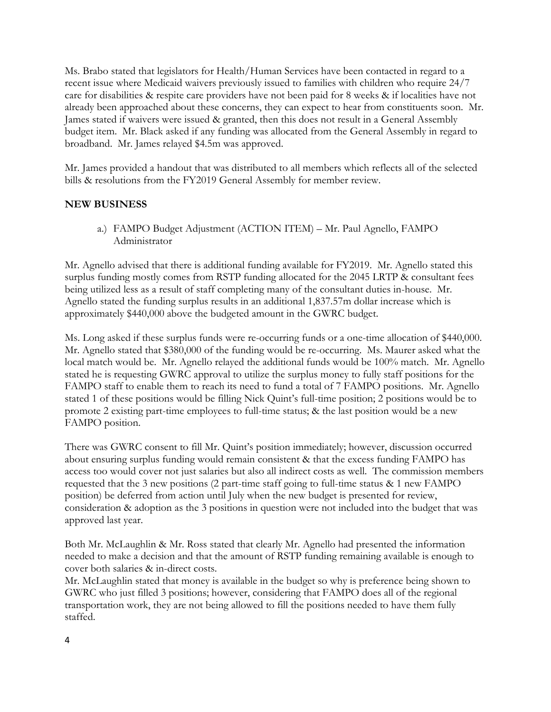Ms. Brabo stated that legislators for Health/Human Services have been contacted in regard to a recent issue where Medicaid waivers previously issued to families with children who require 24/7 care for disabilities & respite care providers have not been paid for 8 weeks & if localities have not already been approached about these concerns, they can expect to hear from constituents soon. Mr. James stated if waivers were issued & granted, then this does not result in a General Assembly budget item. Mr. Black asked if any funding was allocated from the General Assembly in regard to broadband. Mr. James relayed \$4.5m was approved.

Mr. James provided a handout that was distributed to all members which reflects all of the selected bills & resolutions from the FY2019 General Assembly for member review.

#### **NEW BUSINESS**

a.) FAMPO Budget Adjustment (ACTION ITEM) – Mr. Paul Agnello, FAMPO Administrator

Mr. Agnello advised that there is additional funding available for FY2019. Mr. Agnello stated this surplus funding mostly comes from RSTP funding allocated for the 2045 LRTP & consultant fees being utilized less as a result of staff completing many of the consultant duties in-house. Mr. Agnello stated the funding surplus results in an additional 1,837.57m dollar increase which is approximately \$440,000 above the budgeted amount in the GWRC budget.

Ms. Long asked if these surplus funds were re-occurring funds or a one-time allocation of \$440,000. Mr. Agnello stated that \$380,000 of the funding would be re-occurring. Ms. Maurer asked what the local match would be. Mr. Agnello relayed the additional funds would be 100% match. Mr. Agnello stated he is requesting GWRC approval to utilize the surplus money to fully staff positions for the FAMPO staff to enable them to reach its need to fund a total of 7 FAMPO positions. Mr. Agnello stated 1 of these positions would be filling Nick Quint's full-time position; 2 positions would be to promote 2 existing part-time employees to full-time status; & the last position would be a new FAMPO position.

There was GWRC consent to fill Mr. Quint's position immediately; however, discussion occurred about ensuring surplus funding would remain consistent & that the excess funding FAMPO has access too would cover not just salaries but also all indirect costs as well. The commission members requested that the 3 new positions (2 part-time staff going to full-time status & 1 new FAMPO position) be deferred from action until July when the new budget is presented for review, consideration & adoption as the 3 positions in question were not included into the budget that was approved last year.

Both Mr. McLaughlin & Mr. Ross stated that clearly Mr. Agnello had presented the information needed to make a decision and that the amount of RSTP funding remaining available is enough to cover both salaries & in-direct costs.

Mr. McLaughlin stated that money is available in the budget so why is preference being shown to GWRC who just filled 3 positions; however, considering that FAMPO does all of the regional transportation work, they are not being allowed to fill the positions needed to have them fully staffed.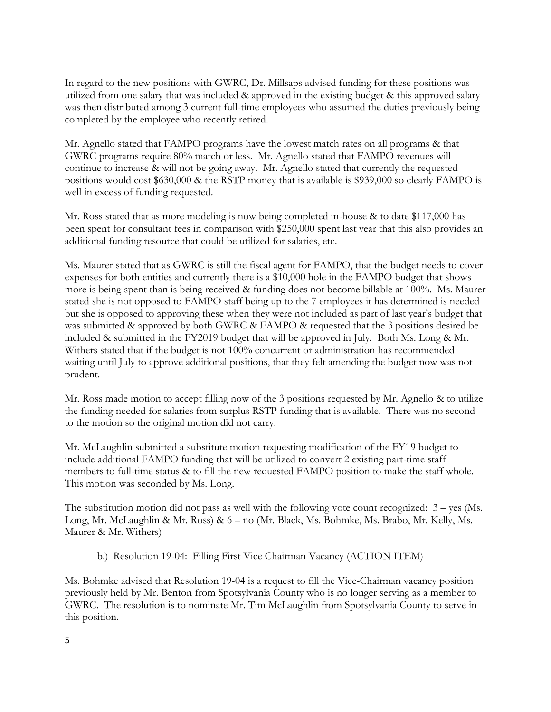In regard to the new positions with GWRC, Dr. Millsaps advised funding for these positions was utilized from one salary that was included & approved in the existing budget & this approved salary was then distributed among 3 current full-time employees who assumed the duties previously being completed by the employee who recently retired.

Mr. Agnello stated that FAMPO programs have the lowest match rates on all programs & that GWRC programs require 80% match or less. Mr. Agnello stated that FAMPO revenues will continue to increase & will not be going away. Mr. Agnello stated that currently the requested positions would cost \$630,000 & the RSTP money that is available is \$939,000 so clearly FAMPO is well in excess of funding requested.

Mr. Ross stated that as more modeling is now being completed in-house & to date \$117,000 has been spent for consultant fees in comparison with \$250,000 spent last year that this also provides an additional funding resource that could be utilized for salaries, etc.

Ms. Maurer stated that as GWRC is still the fiscal agent for FAMPO, that the budget needs to cover expenses for both entities and currently there is a \$10,000 hole in the FAMPO budget that shows more is being spent than is being received & funding does not become billable at 100%. Ms. Maurer stated she is not opposed to FAMPO staff being up to the 7 employees it has determined is needed but she is opposed to approving these when they were not included as part of last year's budget that was submitted & approved by both GWRC & FAMPO & requested that the 3 positions desired be included & submitted in the FY2019 budget that will be approved in July. Both Ms. Long & Mr. Withers stated that if the budget is not 100% concurrent or administration has recommended waiting until July to approve additional positions, that they felt amending the budget now was not prudent.

Mr. Ross made motion to accept filling now of the 3 positions requested by Mr. Agnello & to utilize the funding needed for salaries from surplus RSTP funding that is available. There was no second to the motion so the original motion did not carry.

Mr. McLaughlin submitted a substitute motion requesting modification of the FY19 budget to include additional FAMPO funding that will be utilized to convert 2 existing part-time staff members to full-time status & to fill the new requested FAMPO position to make the staff whole. This motion was seconded by Ms. Long.

The substitution motion did not pass as well with the following vote count recognized: 3 – yes (Ms. Long, Mr. McLaughlin & Mr. Ross) & 6 – no (Mr. Black, Ms. Bohmke, Ms. Brabo, Mr. Kelly, Ms. Maurer & Mr. Withers)

b.) Resolution 19-04: Filling First Vice Chairman Vacancy (ACTION ITEM)

Ms. Bohmke advised that Resolution 19-04 is a request to fill the Vice-Chairman vacancy position previously held by Mr. Benton from Spotsylvania County who is no longer serving as a member to GWRC. The resolution is to nominate Mr. Tim McLaughlin from Spotsylvania County to serve in this position.